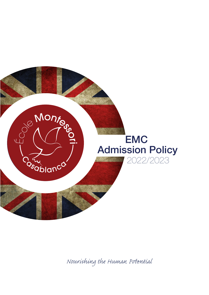

*Nourishing the Human Pential*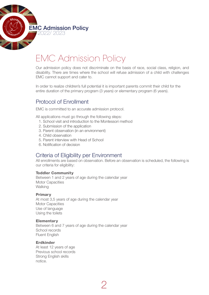

# EMC Admission Policy

Our admission policy does not discriminate on the basis of race, social class, religion, and disability. There are times where the school will refuse admission of a child with challenges EMC cannot support and cater to.

In order to realize children's full potential it is important parents commit their child for the entire duration of the primary program (3 years) or elementary program (6 years).

### Protocol of Enrollment

EMC is committed to an accurate admission protocol.

All applications must go through the following steps:

- 1. School visit and introduction to the Montessori method
- 2. Submission of the application
- 3. Parent observation (in an environment)
- 4. Child observation
- 5. Parent interview with Head of School
- 6. Notification of decision

## Criteria of Eligibility per Environment

All enrollments are based on observation. Before an observation is scheduled, the following is our criteria for eligibility:

2

#### Toddler Community

Between 1 and 2 years of age during the calendar year Motor Capacities **Walking** 

#### Primary

At most 3,5 years of age during the calendar year Motor Capacities Use of language Using the toilets

#### **Elementary**

Between 6 and 7 years of age during the calendar year School records Fluent English

#### Erdkinder

At least 12 years of age Previous school records Strong English skills notice.